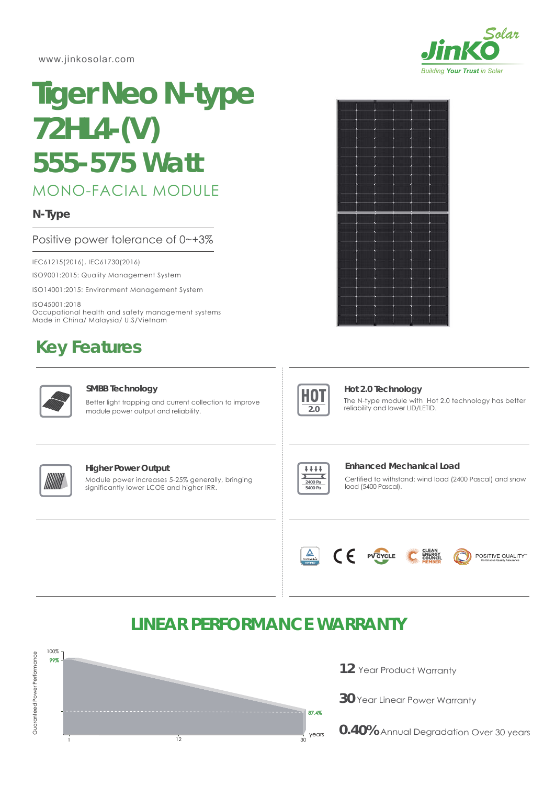www.jinkosolar.com



# MONO-FACIAL MODULE **Tiger Neo N-type 72HL4-(V)** *555-575 Watt*

### **N-Type**

#### Positive power tolerance of 0~+3%

IEC61215(2016), IEC61730(2016)

ISO9001:2015: Quality Management System

ISO14001:2015: Environment Management System

ISO45001:2018 Occupational health and safety management systems Made in China/ Malaysia/ U.S/Vietnam

## **Key Features**



#### **SMBB Technology**

Better light trapping and current collection to improve module power output and reliability.





#### **Hot 2.0 Technology**

The N-type module with Hot 2.0 technology has better reliability and lower LID/LETID.



#### **Higher Power Output**

Module power increases 5-25% generally, bringing significantly lower LCOE and higher IRR.



#### **Enhanced Mechanical Load**

Certified to withstand: wind load (2400 Pascal) and snow load (5400 Pascal).



### **LINEAR PERFORMANCE WARRANTY**



- **12** Year Product Warranty
- **30** Year Linear Power Warranty
- **0.40%** Annual Degradation Over 30 years